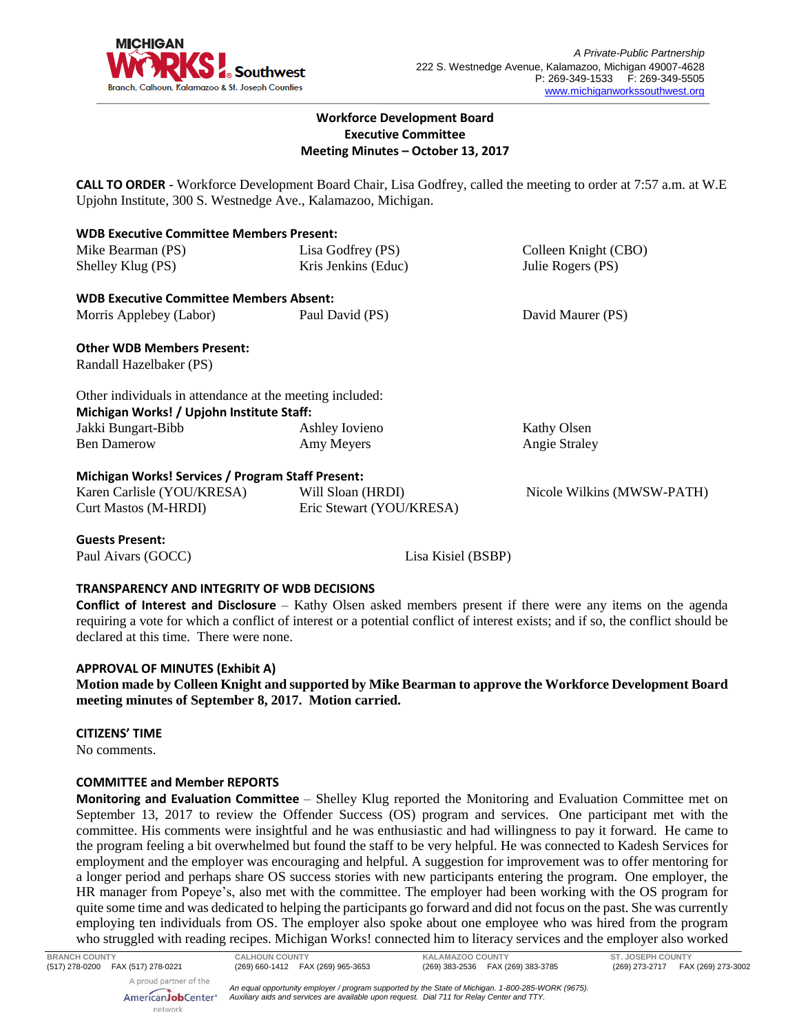

### **Workforce Development Board Executive Committee Meeting Minutes – October 13, 2017**

**CALL TO ORDER** - Workforce Development Board Chair, Lisa Godfrey, called the meeting to order at 7:57 a.m. at W.E Upjohn Institute, 300 S. Westnedge Ave., Kalamazoo, Michigan.

| <b>WDB Executive Committee Members Present:</b>          |                          |                            |
|----------------------------------------------------------|--------------------------|----------------------------|
| Mike Bearman (PS)                                        | Lisa Godfrey (PS)        | Colleen Knight (CBO)       |
| Shelley Klug (PS)                                        | Kris Jenkins (Educ)      | Julie Rogers (PS)          |
| <b>WDB Executive Committee Members Absent:</b>           |                          |                            |
| Morris Applebey (Labor)                                  | Paul David (PS)          | David Maurer (PS)          |
| <b>Other WDB Members Present:</b>                        |                          |                            |
| Randall Hazelbaker (PS)                                  |                          |                            |
| Other individuals in attendance at the meeting included: |                          |                            |
| Michigan Works! / Upjohn Institute Staff:                |                          |                            |
| Jakki Bungart-Bibb                                       | Ashley Iovieno           | Kathy Olsen                |
| <b>Ben Damerow</b>                                       | Amy Meyers               | <b>Angie Straley</b>       |
| <b>Michigan Works! Services / Program Staff Present:</b> |                          |                            |
| Karen Carlisle (YOU/KRESA)                               | Will Sloan (HRDI)        | Nicole Wilkins (MWSW-PATH) |
| <b>Curt Mastos (M-HRDI)</b>                              | Eric Stewart (YOU/KRESA) |                            |
|                                                          |                          |                            |

**Guests Present:**

Paul Aivars (GOCC) Lisa Kisiel (BSBP)

# **TRANSPARENCY AND INTEGRITY OF WDB DECISIONS**

**Conflict of Interest and Disclosure** – Kathy Olsen asked members present if there were any items on the agenda requiring a vote for which a conflict of interest or a potential conflict of interest exists; and if so, the conflict should be declared at this time. There were none.

# **APPROVAL OF MINUTES (Exhibit A)**

**Motion made by Colleen Knight and supported by Mike Bearman to approve the Workforce Development Board meeting minutes of September 8, 2017. Motion carried.** 

#### **CITIZENS' TIME**

No comments.

#### **COMMITTEE and Member REPORTS**

**Monitoring and Evaluation Committee** – Shelley Klug reported the Monitoring and Evaluation Committee met on September 13, 2017 to review the Offender Success (OS) program and services. One participant met with the committee. His comments were insightful and he was enthusiastic and had willingness to pay it forward. He came to the program feeling a bit overwhelmed but found the staff to be very helpful. He was connected to Kadesh Services for employment and the employer was encouraging and helpful. A suggestion for improvement was to offer mentoring for a longer period and perhaps share OS success stories with new participants entering the program. One employer, the HR manager from Popeye's, also met with the committee. The employer had been working with the OS program for quite some time and was dedicated to helping the participants go forward and did not focus on the past. She was currently employing ten individuals from OS. The employer also spoke about one employee who was hired from the program who struggled with reading recipes. Michigan Works! connected him to literacy services and the employer also worked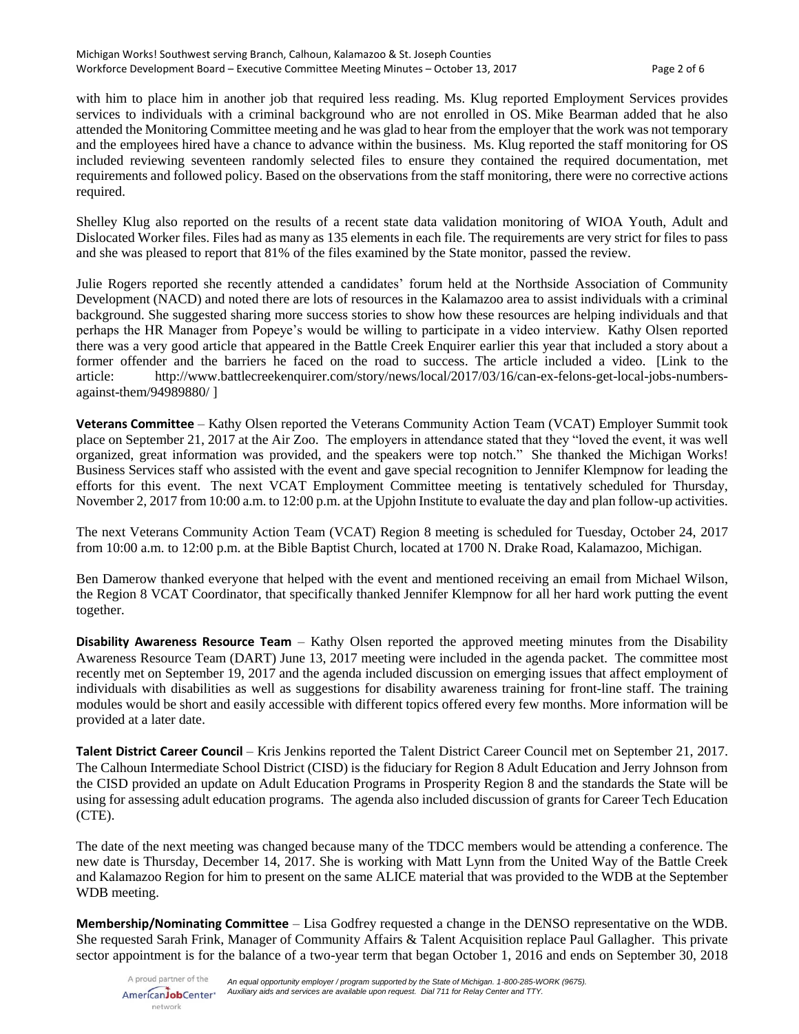with him to place him in another job that required less reading. Ms. Klug reported Employment Services provides services to individuals with a criminal background who are not enrolled in OS. Mike Bearman added that he also attended the Monitoring Committee meeting and he was glad to hear from the employer that the work was not temporary and the employees hired have a chance to advance within the business. Ms. Klug reported the staff monitoring for OS included reviewing seventeen randomly selected files to ensure they contained the required documentation, met requirements and followed policy. Based on the observations from the staff monitoring, there were no corrective actions required.

Shelley Klug also reported on the results of a recent state data validation monitoring of WIOA Youth, Adult and Dislocated Worker files. Files had as many as 135 elements in each file. The requirements are very strict for files to pass and she was pleased to report that 81% of the files examined by the State monitor, passed the review.

Julie Rogers reported she recently attended a candidates' forum held at the Northside Association of Community Development (NACD) and noted there are lots of resources in the Kalamazoo area to assist individuals with a criminal background. She suggested sharing more success stories to show how these resources are helping individuals and that perhaps the HR Manager from Popeye's would be willing to participate in a video interview. Kathy Olsen reported there was a very good article that appeared in the Battle Creek Enquirer earlier this year that included a story about a former offender and the barriers he faced on the road to success. The article included a video. [Link to the article: [http://www.battlecreekenquirer.com/story/news/local/2017/03/16/can-ex-felons-get-local-jobs-numbers](http://www.battlecreekenquirer.com/story/news/local/2017/03/16/can-ex-felons-get-local-jobs-numbers-against-them/94989880/)[against-them/94989880/](http://www.battlecreekenquirer.com/story/news/local/2017/03/16/can-ex-felons-get-local-jobs-numbers-against-them/94989880/) ]

**Veterans Committee** – Kathy Olsen reported the Veterans Community Action Team (VCAT) Employer Summit took place on September 21, 2017 at the Air Zoo. The employers in attendance stated that they "loved the event, it was well organized, great information was provided, and the speakers were top notch." She thanked the Michigan Works! Business Services staff who assisted with the event and gave special recognition to Jennifer Klempnow for leading the efforts for this event. The next VCAT Employment Committee meeting is tentatively scheduled for Thursday, November 2, 2017 from 10:00 a.m. to 12:00 p.m. at the Upjohn Institute to evaluate the day and plan follow-up activities.

The next Veterans Community Action Team (VCAT) Region 8 meeting is scheduled for Tuesday, October 24, 2017 from 10:00 a.m. to 12:00 p.m. at the Bible Baptist Church, located at 1700 N. Drake Road, Kalamazoo, Michigan.

Ben Damerow thanked everyone that helped with the event and mentioned receiving an email from Michael Wilson, the Region 8 VCAT Coordinator, that specifically thanked Jennifer Klempnow for all her hard work putting the event together.

**Disability Awareness Resource Team** – Kathy Olsen reported the approved meeting minutes from the Disability Awareness Resource Team (DART) June 13, 2017 meeting were included in the agenda packet. The committee most recently met on September 19, 2017 and the agenda included discussion on emerging issues that affect employment of individuals with disabilities as well as suggestions for disability awareness training for front-line staff. The training modules would be short and easily accessible with different topics offered every few months. More information will be provided at a later date.

**Talent District Career Council** – Kris Jenkins reported the Talent District Career Council met on September 21, 2017. The Calhoun Intermediate School District (CISD) is the fiduciary for Region 8 Adult Education and Jerry Johnson from the CISD provided an update on Adult Education Programs in Prosperity Region 8 and the standards the State will be using for assessing adult education programs. The agenda also included discussion of grants for Career Tech Education (CTE).

The date of the next meeting was changed because many of the TDCC members would be attending a conference. The new date is Thursday, December 14, 2017. She is working with Matt Lynn from the United Way of the Battle Creek and Kalamazoo Region for him to present on the same ALICE material that was provided to the WDB at the September WDB meeting.

**Membership/Nominating Committee** – Lisa Godfrey requested a change in the DENSO representative on the WDB. She requested Sarah Frink, Manager of Community Affairs & Talent Acquisition replace Paul Gallagher. This private sector appointment is for the balance of a two-year term that began October 1, 2016 and ends on September 30, 2018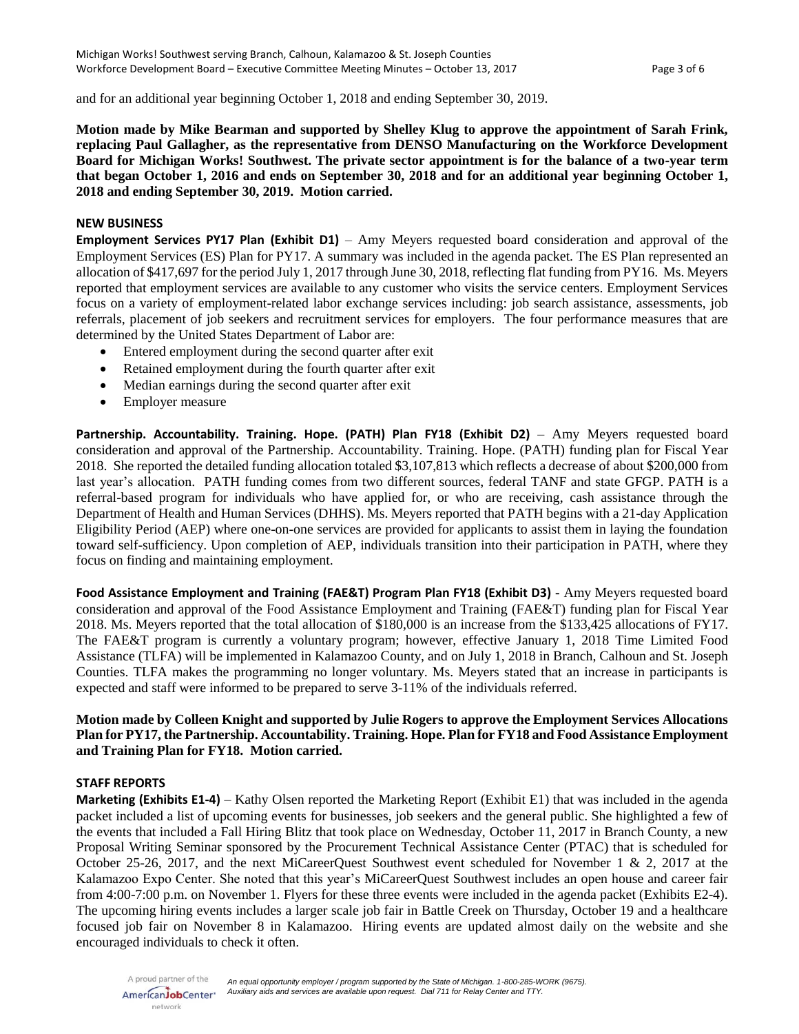and for an additional year beginning October 1, 2018 and ending September 30, 2019.

**Motion made by Mike Bearman and supported by Shelley Klug to approve the appointment of Sarah Frink, replacing Paul Gallagher, as the representative from DENSO Manufacturing on the Workforce Development Board for Michigan Works! Southwest. The private sector appointment is for the balance of a two-year term that began October 1, 2016 and ends on September 30, 2018 and for an additional year beginning October 1, 2018 and ending September 30, 2019. Motion carried.**

#### **NEW BUSINESS**

**Employment Services PY17 Plan (Exhibit D1)** – Amy Meyers requested board consideration and approval of the Employment Services (ES) Plan for PY17. A summary was included in the agenda packet. The ES Plan represented an allocation of \$417,697 for the period July 1, 2017 through June 30, 2018, reflecting flat funding from PY16. Ms. Meyers reported that employment services are available to any customer who visits the service centers. Employment Services focus on a variety of employment-related labor exchange services including: job search assistance, assessments, job referrals, placement of job seekers and recruitment services for employers. The four performance measures that are determined by the United States Department of Labor are:

- Entered employment during the second quarter after exit
- Retained employment during the fourth quarter after exit
- Median earnings during the second quarter after exit
- Employer measure

**Partnership. Accountability. Training. Hope. (PATH) Plan FY18 (Exhibit D2)** – Amy Meyers requested board consideration and approval of the Partnership. Accountability. Training. Hope. (PATH) funding plan for Fiscal Year 2018. She reported the detailed funding allocation totaled \$3,107,813 which reflects a decrease of about \$200,000 from last year's allocation. PATH funding comes from two different sources, federal TANF and state GFGP. PATH is a referral-based program for individuals who have applied for, or who are receiving, cash assistance through the Department of Health and Human Services (DHHS). Ms. Meyers reported that PATH begins with a 21-day Application Eligibility Period (AEP) where one-on-one services are provided for applicants to assist them in laying the foundation toward self-sufficiency. Upon completion of AEP, individuals transition into their participation in PATH, where they focus on finding and maintaining employment.

**Food Assistance Employment and Training (FAE&T) Program Plan FY18 (Exhibit D3) -** Amy Meyers requested board consideration and approval of the Food Assistance Employment and Training (FAE&T) funding plan for Fiscal Year 2018. Ms. Meyers reported that the total allocation of \$180,000 is an increase from the \$133,425 allocations of FY17. The FAE&T program is currently a voluntary program; however, effective January 1, 2018 Time Limited Food Assistance (TLFA) will be implemented in Kalamazoo County, and on July 1, 2018 in Branch, Calhoun and St. Joseph Counties. TLFA makes the programming no longer voluntary. Ms. Meyers stated that an increase in participants is expected and staff were informed to be prepared to serve 3-11% of the individuals referred.

### **Motion made by Colleen Knight and supported by Julie Rogers to approve the Employment Services Allocations Plan for PY17, the Partnership. Accountability. Training. Hope. Plan for FY18 and Food Assistance Employment and Training Plan for FY18. Motion carried.**

#### **STAFF REPORTS**

**Marketing (Exhibits E1-4)** – Kathy Olsen reported the Marketing Report (Exhibit E1) that was included in the agenda packet included a list of upcoming events for businesses, job seekers and the general public. She highlighted a few of the events that included a Fall Hiring Blitz that took place on Wednesday, October 11, 2017 in Branch County, a new Proposal Writing Seminar sponsored by the Procurement Technical Assistance Center (PTAC) that is scheduled for October 25-26, 2017, and the next MiCareerQuest Southwest event scheduled for November 1 & 2, 2017 at the Kalamazoo Expo Center. She noted that this year's MiCareerQuest Southwest includes an open house and career fair from 4:00-7:00 p.m. on November 1. Flyers for these three events were included in the agenda packet (Exhibits E2-4). The upcoming hiring events includes a larger scale job fair in Battle Creek on Thursday, October 19 and a healthcare focused job fair on November 8 in Kalamazoo. Hiring events are updated almost daily on the website and she encouraged individuals to check it often.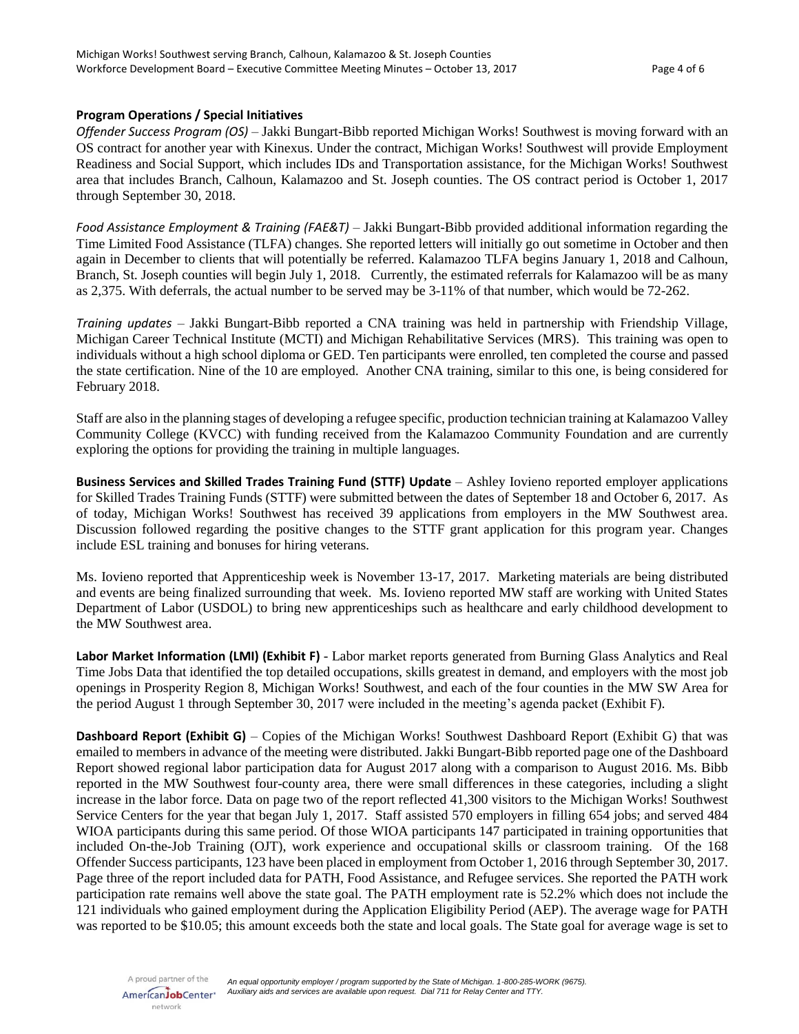#### **Program Operations / Special Initiatives**

*Offender Success Program (OS)* – Jakki Bungart-Bibb reported Michigan Works! Southwest is moving forward with an OS contract for another year with Kinexus. Under the contract, Michigan Works! Southwest will provide Employment Readiness and Social Support, which includes IDs and Transportation assistance, for the Michigan Works! Southwest area that includes Branch, Calhoun, Kalamazoo and St. Joseph counties. The OS contract period is October 1, 2017 through September 30, 2018.

*Food Assistance Employment & Training (FAE&T)* – Jakki Bungart-Bibb provided additional information regarding the Time Limited Food Assistance (TLFA) changes. She reported letters will initially go out sometime in October and then again in December to clients that will potentially be referred. Kalamazoo TLFA begins January 1, 2018 and Calhoun, Branch, St. Joseph counties will begin July 1, 2018. Currently, the estimated referrals for Kalamazoo will be as many as 2,375. With deferrals, the actual number to be served may be 3-11% of that number, which would be 72-262.

*Training updates –* Jakki Bungart-Bibb reported a CNA training was held in partnership with Friendship Village, Michigan Career Technical Institute (MCTI) and Michigan Rehabilitative Services (MRS). This training was open to individuals without a high school diploma or GED. Ten participants were enrolled, ten completed the course and passed the state certification. Nine of the 10 are employed. Another CNA training, similar to this one, is being considered for February 2018.

Staff are also in the planning stages of developing a refugee specific, production technician training at Kalamazoo Valley Community College (KVCC) with funding received from the Kalamazoo Community Foundation and are currently exploring the options for providing the training in multiple languages.

**Business Services and Skilled Trades Training Fund (STTF) Update** – Ashley Iovieno reported employer applications for Skilled Trades Training Funds (STTF) were submitted between the dates of September 18 and October 6, 2017. As of today, Michigan Works! Southwest has received 39 applications from employers in the MW Southwest area. Discussion followed regarding the positive changes to the STTF grant application for this program year. Changes include ESL training and bonuses for hiring veterans.

Ms. Iovieno reported that Apprenticeship week is November 13-17, 2017. Marketing materials are being distributed and events are being finalized surrounding that week. Ms. Iovieno reported MW staff are working with United States Department of Labor (USDOL) to bring new apprenticeships such as healthcare and early childhood development to the MW Southwest area.

**Labor Market Information (LMI) (Exhibit F)** - Labor market reports generated from Burning Glass Analytics and Real Time Jobs Data that identified the top detailed occupations, skills greatest in demand, and employers with the most job openings in Prosperity Region 8, Michigan Works! Southwest, and each of the four counties in the MW SW Area for the period August 1 through September 30, 2017 were included in the meeting's agenda packet (Exhibit F).

**Dashboard Report (Exhibit G)** – Copies of the Michigan Works! Southwest Dashboard Report (Exhibit G) that was emailed to members in advance of the meeting were distributed. Jakki Bungart-Bibb reported page one of the Dashboard Report showed regional labor participation data for August 2017 along with a comparison to August 2016. Ms. Bibb reported in the MW Southwest four-county area, there were small differences in these categories, including a slight increase in the labor force. Data on page two of the report reflected 41,300 visitors to the Michigan Works! Southwest Service Centers for the year that began July 1, 2017. Staff assisted 570 employers in filling 654 jobs; and served 484 WIOA participants during this same period. Of those WIOA participants 147 participated in training opportunities that included On-the-Job Training (OJT), work experience and occupational skills or classroom training. Of the 168 Offender Success participants, 123 have been placed in employment from October 1, 2016 through September 30, 2017. Page three of the report included data for PATH, Food Assistance, and Refugee services. She reported the PATH work participation rate remains well above the state goal. The PATH employment rate is 52.2% which does not include the 121 individuals who gained employment during the Application Eligibility Period (AEP). The average wage for PATH was reported to be \$10.05; this amount exceeds both the state and local goals. The State goal for average wage is set to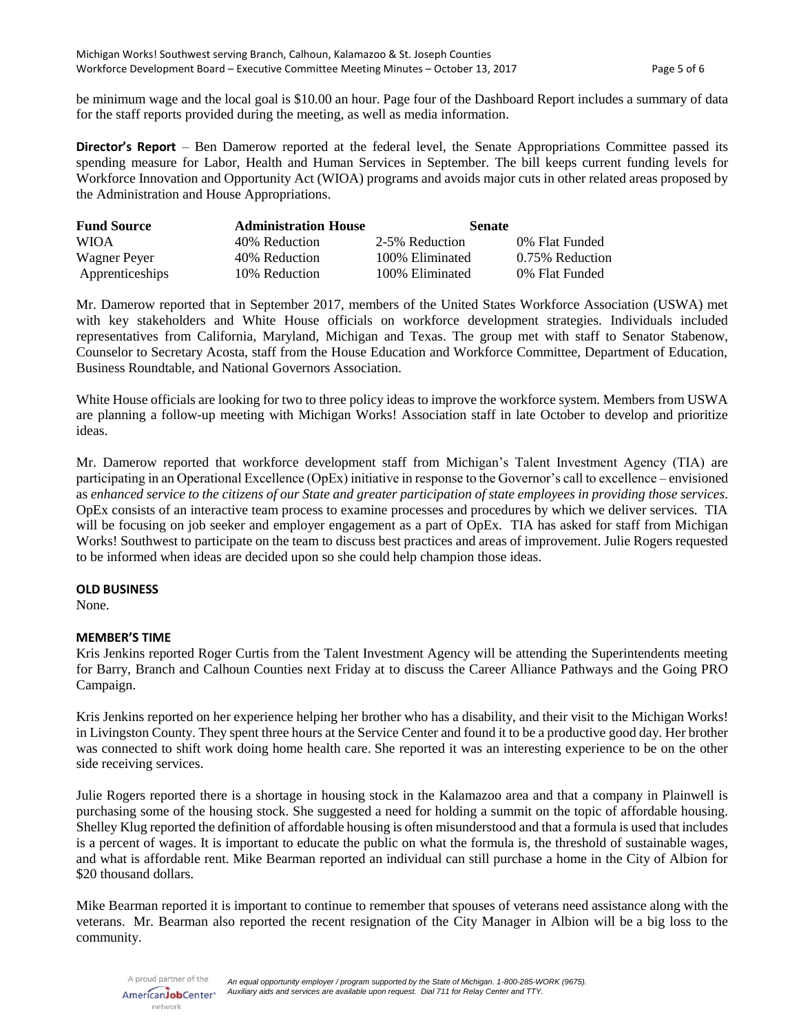be minimum wage and the local goal is \$10.00 an hour. Page four of the Dashboard Report includes a summary of data for the staff reports provided during the meeting, as well as media information.

**Director's Report** – Ben Damerow reported at the federal level, the Senate Appropriations Committee passed its spending measure for Labor, Health and Human Services in September. The bill keeps current funding levels for Workforce Innovation and Opportunity Act (WIOA) programs and avoids major cuts in other related areas proposed by the Administration and House Appropriations.

| <b>Fund Source</b> | <b>Administration House</b> | <b>Senate</b>    |                 |
|--------------------|-----------------------------|------------------|-----------------|
| <b>WIOA</b>        | 40% Reduction               | 2-5% Reduction   | 0% Flat Funded  |
| Wagner Peyer       | 40% Reduction               | 100\% Eliminated | 0.75% Reduction |
| Apprenticeships    | 10% Reduction               | 100% Eliminated  | 0% Flat Funded  |

Mr. Damerow reported that in September 2017, members of the United States Workforce Association (USWA) met with key stakeholders and White House officials on workforce development strategies. Individuals included representatives from California, Maryland, Michigan and Texas. The group met with staff to Senator Stabenow, Counselor to Secretary Acosta, staff from the House Education and Workforce Committee, Department of Education, Business Roundtable, and National Governors Association.

White House officials are looking for two to three policy ideas to improve the workforce system. Members from USWA are planning a follow-up meeting with Michigan Works! Association staff in late October to develop and prioritize ideas.

Mr. Damerow reported that workforce development staff from Michigan's Talent Investment Agency (TIA) are participating in an Operational Excellence (OpEx) initiative in response to the Governor's call to excellence – envisioned as *enhanced service to the citizens of our State and greater participation of state employees in providing those services*. OpEx consists of an interactive team process to examine processes and procedures by which we deliver services. TIA will be focusing on job seeker and employer engagement as a part of OpEx. TIA has asked for staff from Michigan Works! Southwest to participate on the team to discuss best practices and areas of improvement. Julie Rogers requested to be informed when ideas are decided upon so she could help champion those ideas.

#### **OLD BUSINESS**

None.

#### **MEMBER'S TIME**

Kris Jenkins reported Roger Curtis from the Talent Investment Agency will be attending the Superintendents meeting for Barry, Branch and Calhoun Counties next Friday at to discuss the Career Alliance Pathways and the Going PRO Campaign.

Kris Jenkins reported on her experience helping her brother who has a disability, and their visit to the Michigan Works! in Livingston County. They spent three hours at the Service Center and found it to be a productive good day. Her brother was connected to shift work doing home health care. She reported it was an interesting experience to be on the other side receiving services.

Julie Rogers reported there is a shortage in housing stock in the Kalamazoo area and that a company in Plainwell is purchasing some of the housing stock. She suggested a need for holding a summit on the topic of affordable housing. Shelley Klug reported the definition of affordable housing is often misunderstood and that a formula is used that includes is a percent of wages. It is important to educate the public on what the formula is, the threshold of sustainable wages, and what is affordable rent. Mike Bearman reported an individual can still purchase a home in the City of Albion for \$20 thousand dollars.

Mike Bearman reported it is important to continue to remember that spouses of veterans need assistance along with the veterans. Mr. Bearman also reported the recent resignation of the City Manager in Albion will be a big loss to the community.